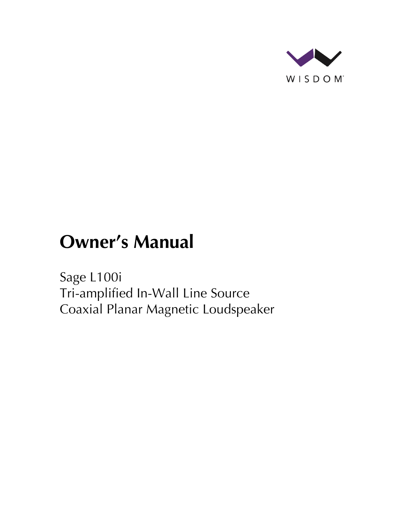

# **Owner's Manual**

Sage L100i Tri-amplified In-Wall Line Source Coaxial Planar Magnetic Loudspeaker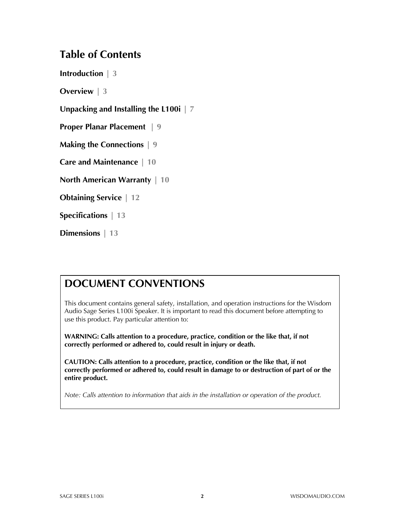#### **Table of Contents**

**Introduction | 3**

**Overview | 3**

**Unpacking and Installing the L100i | 7**

**Proper Planar Placement | 9**

**Making the Connections | 9**

**Care and Maintenance | 10**

**North American Warranty | 10**

**Obtaining Service | 12**

**Specifications | 13**

**Dimensions | 13**

#### **DOCUMENT CONVENTIONS**

This document contains general safety, installation, and operation instructions for the Wisdom Audio Sage Series L100i Speaker. It is important to read this document before attempting to use this product. Pay particular attention to:

**WARNING: Calls attention to a procedure, practice, condition or the like that, if not correctly performed or adhered to, could result in injury or death.** 

**CAUTION: Calls attention to a procedure, practice, condition or the like that, if not correctly performed or adhered to, could result in damage to or destruction of part of or the entire product.** 

*Note: Calls attention to information that aids in the installation or operation of the product.*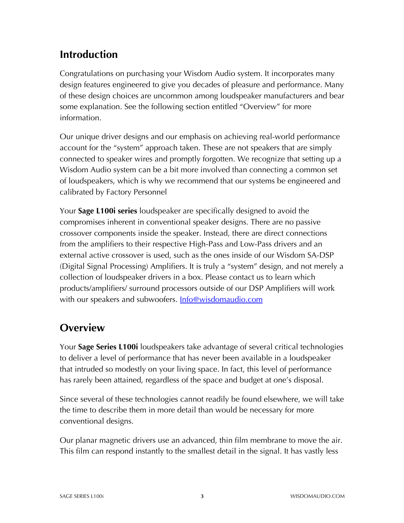#### **Introduction**

Congratulations on purchasing your Wisdom Audio system. It incorporates many design features engineered to give you decades of pleasure and performance. Many of these design choices are uncommon among loudspeaker manufacturers and bear some explanation. See the following section entitled "Overview" for more information.

Our unique driver designs and our emphasis on achieving real-world performance account for the "system" approach taken. These are not speakers that are simply connected to speaker wires and promptly forgotten. We recognize that setting up a Wisdom Audio system can be a bit more involved than connecting a common set of loudspeakers, which is why we recommend that our systems be engineered and calibrated by Factory Personnel

Your **Sage L100i series** loudspeaker are specifically designed to avoid the compromises inherent in conventional speaker designs. There are no passive crossover components inside the speaker. Instead, there are direct connections from the amplifiers to their respective High-Pass and Low-Pass drivers and an external active crossover is used, such as the ones inside of our Wisdom SA-DSP (Digital Signal Processing) Amplifiers. It is truly a "system" design, and not merely a collection of loudspeaker drivers in a box. Please contact us to learn which products/amplifiers/ surround processors outside of our DSP Amplifiers will work with our speakers and subwoofers. **Info@wisdomaudio.com** 

## **Overview**

Your **Sage Series L100i** loudspeakers take advantage of several critical technologies to deliver a level of performance that has never been available in a loudspeaker that intruded so modestly on your living space. In fact, this level of performance has rarely been attained, regardless of the space and budget at one's disposal.

Since several of these technologies cannot readily be found elsewhere, we will take the time to describe them in more detail than would be necessary for more conventional designs.

Our planar magnetic drivers use an advanced, thin film membrane to move the air. This film can respond instantly to the smallest detail in the signal. It has vastly less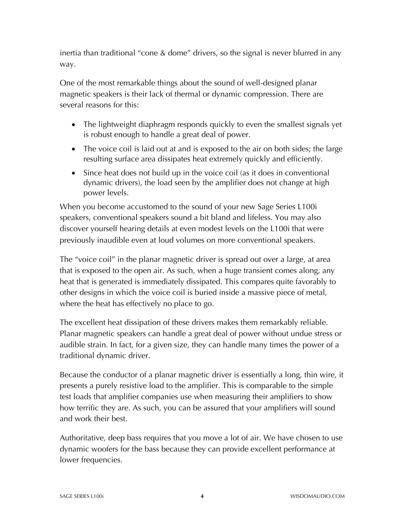inertia than traditional "cone & dome" drivers, so the signal is never blurred in any way.

One of the most remarkable things about the sound of well-designed planar magnetic speakers is their lack of thermal or dynamic compression. There are several reasons for this:

- The lightweight diaphragm responds quickly to even the smallest signals yet is robust enough to handle a great deal of power.
- The voice coil is laid out at and is exposed to the air on both sides; the large resulting surface area dissipates heat extremely quickly and efficiently.
- Since heat does not build up in the voice coil (as it does in conventional dynamic drivers), the load seen by the amplifier does not change at high power levels.

When you become accustomed to the sound of your new Sage Series L100i speakers, conventional speakers sound a bit bland and lifeless. You may also discover yourself hearing details at even modest levels on the L100i that were previously inaudible even at loud volumes on more conventional speakers.

The "voice coil" in the planar magnetic driver is spread out over a large, at area that is exposed to the open air. As such, when a huge transient comes along, any heat that is generated is immediately dissipated. This compares quite favorably to other designs in which the voice coil is buried inside a massive piece of metal, where the heat has effectively no place to go.

The excellent heat dissipation of these drivers makes them remarkably reliable. Planar magnetic speakers can handle a great deal of power without undue stress or audible strain. In fact, for a given size, they can handle many times the power of a traditional dynamic driver.

Because the conductor of a planar magnetic driver is essentially a long, thin wire, it presents a purely resistive load to the amplifier. This is comparable to the simple test loads that amplifier companies use when measuring their amplifiers to show how terrific they are. As such, you can be assured that your amplifiers will sound and work their best.

Authoritative, deep bass requires that you move a lot of air. We have chosen to use dynamic woofers for the bass because they can provide excellent performance at lower frequencies.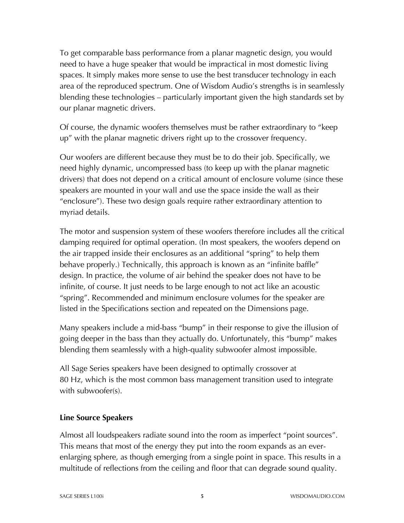To get comparable bass performance from a planar magnetic design, you would need to have a huge speaker that would be impractical in most domestic living spaces. It simply makes more sense to use the best transducer technology in each area of the reproduced spectrum. One of Wisdom Audio's strengths is in seamlessly blending these technologies – particularly important given the high standards set by our planar magnetic drivers.

Of course, the dynamic woofers themselves must be rather extraordinary to "keep up" with the planar magnetic drivers right up to the crossover frequency.

Our woofers are different because they must be to do their job. Specifically, we need highly dynamic, uncompressed bass (to keep up with the planar magnetic drivers) that does not depend on a critical amount of enclosure volume (since these speakers are mounted in your wall and use the space inside the wall as their "enclosure"). These two design goals require rather extraordinary attention to myriad details.

The motor and suspension system of these woofers therefore includes all the critical damping required for optimal operation. (In most speakers, the woofers depend on the air trapped inside their enclosures as an additional "spring" to help them behave properly.) Technically, this approach is known as an "infinite baffle" design. In practice, the volume of air behind the speaker does not have to be infinite, of course. It just needs to be large enough to not act like an acoustic "spring". Recommended and minimum enclosure volumes for the speaker are listed in the Specifications section and repeated on the Dimensions page.

Many speakers include a mid-bass "bump" in their response to give the illusion of going deeper in the bass than they actually do. Unfortunately, this "bump" makes blending them seamlessly with a high-quality subwoofer almost impossible.

All Sage Series speakers have been designed to optimally crossover at 80 Hz, which is the most common bass management transition used to integrate with subwoofer(s).

#### **Line Source Speakers**

Almost all loudspeakers radiate sound into the room as imperfect "point sources". This means that most of the energy they put into the room expands as an everenlarging sphere, as though emerging from a single point in space. This results in a multitude of reflections from the ceiling and floor that can degrade sound quality.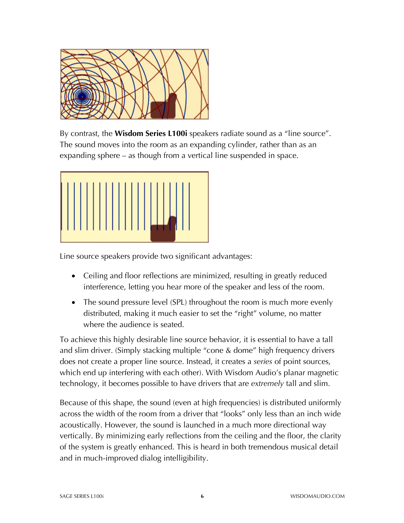

By contrast, the **Wisdom Series L100i** speakers radiate sound as a "line source". The sound moves into the room as an expanding cylinder, rather than as an expanding sphere – as though from a vertical line suspended in space.



Line source speakers provide two significant advantages:

- Ceiling and floor reflections are minimized, resulting in greatly reduced interference, letting you hear more of the speaker and less of the room.
- The sound pressure level (SPL) throughout the room is much more evenly distributed, making it much easier to set the "right" volume, no matter where the audience is seated.

To achieve this highly desirable line source behavior, it is essential to have a tall and slim driver. (Simply stacking multiple "cone & dome" high frequency drivers does not create a proper line source. Instead, it creates a *series* of point sources, which end up interfering with each other). With Wisdom Audio's planar magnetic technology, it becomes possible to have drivers that are *extremely* tall and slim.

Because of this shape, the sound (even at high frequencies) is distributed uniformly across the width of the room from a driver that "looks" only less than an inch wide acoustically. However, the sound is launched in a much more directional way vertically. By minimizing early reflections from the ceiling and the floor, the clarity of the system is greatly enhanced. This is heard in both tremendous musical detail and in much-improved dialog intelligibility.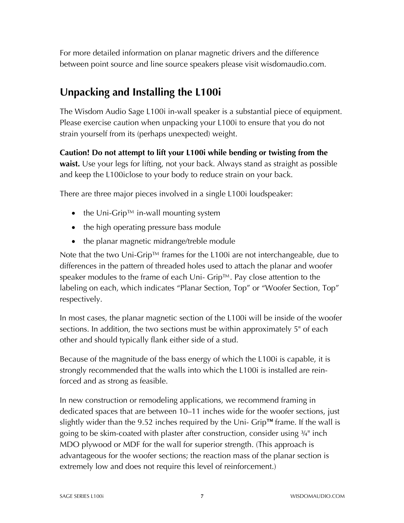For more detailed information on planar magnetic drivers and the difference between point source and line source speakers please visit wisdomaudio.com.

## **Unpacking and Installing the L100i**

The Wisdom Audio Sage L100i in-wall speaker is a substantial piece of equipment. Please exercise caution when unpacking your L100i to ensure that you do not strain yourself from its (perhaps unexpected) weight.

**Caution! Do not attempt to lift your L100i while bending or twisting from the waist.** Use your legs for lifting, not your back. Always stand as straight as possible and keep the L100iclose to your body to reduce strain on your back.

There are three major pieces involved in a single L100i loudspeaker:

- the Uni-Grip™ in-wall mounting system
- the high operating pressure bass module
- the planar magnetic midrange/treble module

Note that the two Uni-Grip™ frames for the L100i are not interchangeable, due to differences in the pattern of threaded holes used to attach the planar and woofer speaker modules to the frame of each Uni- Grip™. Pay close attention to the labeling on each, which indicates "Planar Section, Top" or "Woofer Section, Top" respectively.

In most cases, the planar magnetic section of the L100i will be inside of the woofer sections. In addition, the two sections must be within approximately 5" of each other and should typically flank either side of a stud.

Because of the magnitude of the bass energy of which the L100i is capable, it is strongly recommended that the walls into which the L100i is installed are reinforced and as strong as feasible.

In new construction or remodeling applications, we recommend framing in dedicated spaces that are between 10–11 inches wide for the woofer sections, just slightly wider than the 9.52 inches required by the Uni- Grip™ frame. If the wall is going to be skim-coated with plaster after construction, consider using ¾" inch MDO plywood or MDF for the wall for superior strength. (This approach is advantageous for the woofer sections; the reaction mass of the planar section is extremely low and does not require this level of reinforcement.)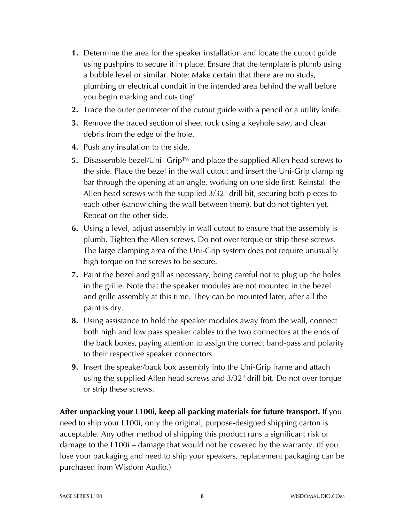- **1.** Determine the area for the speaker installation and locate the cutout guide using pushpins to secure it in place. Ensure that the template is plumb using a bubble level or similar. Note: Make certain that there are no studs, plumbing or electrical conduit in the intended area behind the wall before you begin marking and cut- ting!
- **2.** Trace the outer perimeter of the cutout guide with a pencil or a utility knife.
- **3.** Remove the traced section of sheet rock using a keyhole saw, and clear debris from the edge of the hole.
- **4.** Push any insulation to the side.
- **5.** Disassemble bezel/Uni- Grip™ and place the supplied Allen head screws to the side. Place the bezel in the wall cutout and insert the Uni-Grip clamping bar through the opening at an angle, working on one side first. Reinstall the Allen head screws with the supplied 3/32" drill bit, securing both pieces to each other (sandwiching the wall between them), but do not tighten yet. Repeat on the other side.
- **6.** Using a level, adjust assembly in wall cutout to ensure that the assembly is plumb. Tighten the Allen screws. Do not over torque or strip these screws. The large clamping area of the Uni-Grip system does not require unusually high torque on the screws to be secure.
- **7.** Paint the bezel and grill as necessary, being careful not to plug up the holes in the grille. Note that the speaker modules are not mounted in the bezel and grille assembly at this time. They can be mounted later, after all the paint is dry.
- **8.** Using assistance to hold the speaker modules away from the wall, connect both high and low pass speaker cables to the two connectors at the ends of the back boxes, paying attention to assign the correct band-pass and polarity to their respective speaker connectors.
- **9.** Insert the speaker/back box assembly into the Uni-Grip frame and attach using the supplied Allen head screws and 3/32" drill bit. Do not over torque or strip these screws.

**After unpacking your L100i, keep all packing materials for future transport.** If you need to ship your L100i, only the original, purpose-designed shipping carton is acceptable. Any other method of shipping this product runs a significant risk of damage to the L100i – damage that would not be covered by the warranty. (If you lose your packaging and need to ship your speakers, replacement packaging can be purchased from Wisdom Audio.)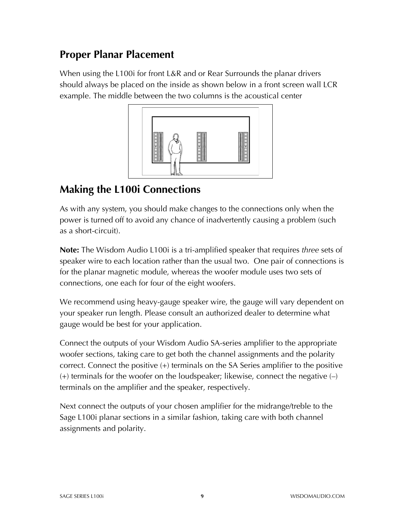#### **Proper Planar Placement**

When using the L100i for front L&R and or Rear Surrounds the planar drivers should always be placed on the inside as shown below in a front screen wall LCR example. The middle between the two columns is the acoustical center



## **Making the L100i Connections**

As with any system, you should make changes to the connections only when the power is turned off to avoid any chance of inadvertently causing a problem (such as a short-circuit).

**Note:** The Wisdom Audio L100i is a tri-amplified speaker that requires *three* sets of speaker wire to each location rather than the usual two. One pair of connections is for the planar magnetic module, whereas the woofer module uses two sets of connections, one each for four of the eight woofers.

We recommend using heavy-gauge speaker wire, the gauge will vary dependent on your speaker run length. Please consult an authorized dealer to determine what gauge would be best for your application.

Connect the outputs of your Wisdom Audio SA-series amplifier to the appropriate woofer sections, taking care to get both the channel assignments and the polarity correct. Connect the positive (+) terminals on the SA Series amplifier to the positive  $(+)$  terminals for the woofer on the loudspeaker; likewise, connect the negative  $(-)$ terminals on the amplifier and the speaker, respectively.

Next connect the outputs of your chosen amplifier for the midrange/treble to the Sage L100i planar sections in a similar fashion, taking care with both channel assignments and polarity.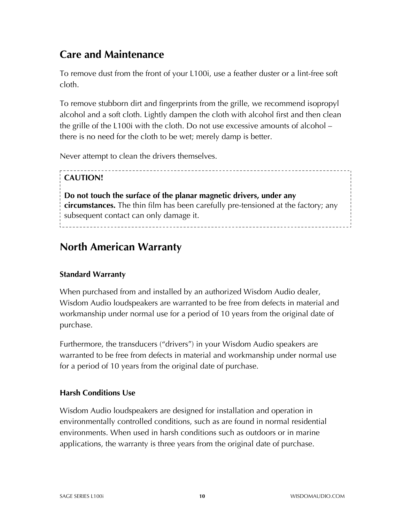#### **Care and Maintenance**

To remove dust from the front of your L100i, use a feather duster or a lint-free soft cloth.

To remove stubborn dirt and fingerprints from the grille, we recommend isopropyl alcohol and a soft cloth. Lightly dampen the cloth with alcohol first and then clean the grille of the L100i with the cloth. Do not use excessive amounts of alcohol – there is no need for the cloth to be wet; merely damp is better.

Never attempt to clean the drivers themselves.

#### **CAUTION!**

**Do not touch the surface of the planar magnetic drivers, under any circumstances.** The thin film has been carefully pre-tensioned at the factory; any subsequent contact can only damage it. 

#### **North American Warranty**

#### **Standard Warranty**

When purchased from and installed by an authorized Wisdom Audio dealer, Wisdom Audio loudspeakers are warranted to be free from defects in material and workmanship under normal use for a period of 10 years from the original date of purchase.

Furthermore, the transducers ("drivers") in your Wisdom Audio speakers are warranted to be free from defects in material and workmanship under normal use for a period of 10 years from the original date of purchase.

#### **Harsh Conditions Use**

Wisdom Audio loudspeakers are designed for installation and operation in environmentally controlled conditions, such as are found in normal residential environments. When used in harsh conditions such as outdoors or in marine applications, the warranty is three years from the original date of purchase.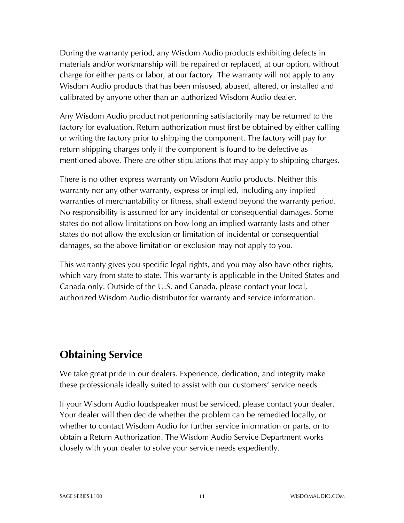During the warranty period, any Wisdom Audio products exhibiting defects in materials and/or workmanship will be repaired or replaced, at our option, without charge for either parts or labor, at our factory. The warranty will not apply to any Wisdom Audio products that has been misused, abused, altered, or installed and calibrated by anyone other than an authorized Wisdom Audio dealer.

Any Wisdom Audio product not performing satisfactorily may be returned to the factory for evaluation. Return authorization must first be obtained by either calling or writing the factory prior to shipping the component. The factory will pay for return shipping charges only if the component is found to be defective as mentioned above. There are other stipulations that may apply to shipping charges.

There is no other express warranty on Wisdom Audio products. Neither this warranty nor any other warranty, express or implied, including any implied warranties of merchantability or fitness, shall extend beyond the warranty period. No responsibility is assumed for any incidental or consequential damages. Some states do not allow limitations on how long an implied warranty lasts and other states do not allow the exclusion or limitation of incidental or consequential damages, so the above limitation or exclusion may not apply to you.

This warranty gives you specific legal rights, and you may also have other rights, which vary from state to state. This warranty is applicable in the United States and Canada only. Outside of the U.S. and Canada, please contact your local, authorized Wisdom Audio distributor for warranty and service information.

## **Obtaining Service**

We take great pride in our dealers. Experience, dedication, and integrity make these professionals ideally suited to assist with our customers' service needs.

If your Wisdom Audio loudspeaker must be serviced, please contact your dealer. Your dealer will then decide whether the problem can be remedied locally, or whether to contact Wisdom Audio for further service information or parts, or to obtain a Return Authorization. The Wisdom Audio Service Department works closely with your dealer to solve your service needs expediently.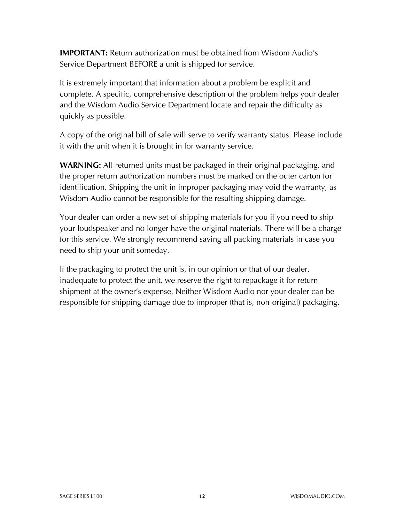**IMPORTANT:** Return authorization must be obtained from Wisdom Audio's Service Department BEFORE a unit is shipped for service.

It is extremely important that information about a problem be explicit and complete. A specific, comprehensive description of the problem helps your dealer and the Wisdom Audio Service Department locate and repair the difficulty as quickly as possible.

A copy of the original bill of sale will serve to verify warranty status. Please include it with the unit when it is brought in for warranty service.

**WARNING:** All returned units must be packaged in their original packaging, and the proper return authorization numbers must be marked on the outer carton for identification. Shipping the unit in improper packaging may void the warranty, as Wisdom Audio cannot be responsible for the resulting shipping damage.

Your dealer can order a new set of shipping materials for you if you need to ship your loudspeaker and no longer have the original materials. There will be a charge for this service. We strongly recommend saving all packing materials in case you need to ship your unit someday.

If the packaging to protect the unit is, in our opinion or that of our dealer, inadequate to protect the unit, we reserve the right to repackage it for return shipment at the owner's expense. Neither Wisdom Audio nor your dealer can be responsible for shipping damage due to improper (that is, non-original) packaging.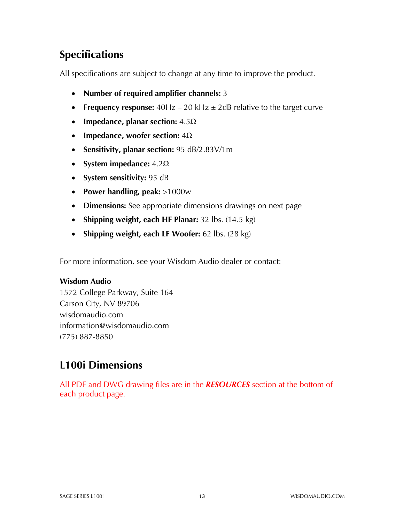# **Specifications**

All specifications are subject to change at any time to improve the product.

- **Number of required amplifier channels:** 3
- **Frequency response:**  $40Hz 20kHz \pm 2dB$  relative to the target curve
- **Impedance, planar section:** 4.5Ω
- **Impedance, woofer section:** 4Ω
- **Sensitivity, planar section:** 95 dB/2.83V/1m
- **System impedance:** 4.2Ω
- **System sensitivity:** 95 dB
- **Power handling, peak:** >1000w
- **Dimensions:** See appropriate dimensions drawings on next page
- **Shipping weight, each HF Planar:** 32 lbs. (14.5 kg)
- **Shipping weight, each LF Woofer:** 62 lbs. (28 kg)

For more information, see your Wisdom Audio dealer or contact:

#### **Wisdom Audio**

1572 College Parkway, Suite 164 Carson City, NV 89706 wisdomaudio.com information@wisdomaudio.com (775) 887-8850

#### **L100i Dimensions**

All PDF and DWG drawing files are in the *RESOURCES* section at the bottom of each product page.